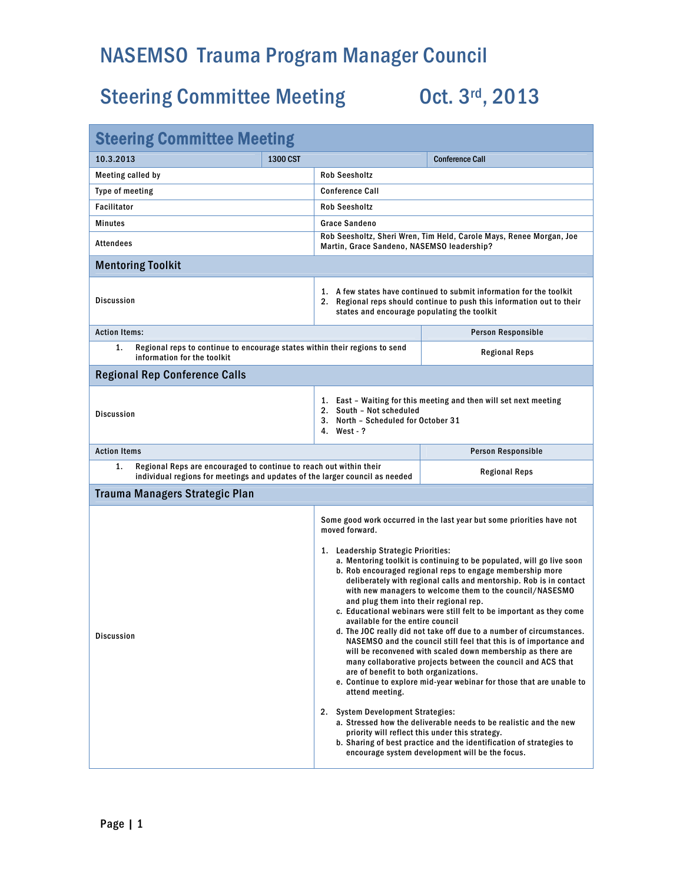## NASEMSO Trauma Program Manager Council

# Steering Committee Meeting Oct. 3rd, 2013

| <b>Steering Committee Meeting</b>                                                                                                                       |          |                                                                                                                                                                                                                                                                                                                                                                                                                                                                                                                                                                                                                                                                                                                                                                                                                                                                                                                                                                                                                                                                                                                                                                                                                                                                     |                        |  |
|---------------------------------------------------------------------------------------------------------------------------------------------------------|----------|---------------------------------------------------------------------------------------------------------------------------------------------------------------------------------------------------------------------------------------------------------------------------------------------------------------------------------------------------------------------------------------------------------------------------------------------------------------------------------------------------------------------------------------------------------------------------------------------------------------------------------------------------------------------------------------------------------------------------------------------------------------------------------------------------------------------------------------------------------------------------------------------------------------------------------------------------------------------------------------------------------------------------------------------------------------------------------------------------------------------------------------------------------------------------------------------------------------------------------------------------------------------|------------------------|--|
| 10.3.2013                                                                                                                                               | 1300 CST |                                                                                                                                                                                                                                                                                                                                                                                                                                                                                                                                                                                                                                                                                                                                                                                                                                                                                                                                                                                                                                                                                                                                                                                                                                                                     | <b>Conference Call</b> |  |
| Meeting called by                                                                                                                                       |          | <b>Rob Seesholtz</b>                                                                                                                                                                                                                                                                                                                                                                                                                                                                                                                                                                                                                                                                                                                                                                                                                                                                                                                                                                                                                                                                                                                                                                                                                                                |                        |  |
| Type of meeting                                                                                                                                         |          | <b>Conference Call</b>                                                                                                                                                                                                                                                                                                                                                                                                                                                                                                                                                                                                                                                                                                                                                                                                                                                                                                                                                                                                                                                                                                                                                                                                                                              |                        |  |
| <b>Facilitator</b>                                                                                                                                      |          | <b>Rob Seesholtz</b>                                                                                                                                                                                                                                                                                                                                                                                                                                                                                                                                                                                                                                                                                                                                                                                                                                                                                                                                                                                                                                                                                                                                                                                                                                                |                        |  |
| <b>Minutes</b>                                                                                                                                          |          | <b>Grace Sandeno</b>                                                                                                                                                                                                                                                                                                                                                                                                                                                                                                                                                                                                                                                                                                                                                                                                                                                                                                                                                                                                                                                                                                                                                                                                                                                |                        |  |
| Attendees                                                                                                                                               |          | Rob Seesholtz, Sheri Wren, Tim Held, Carole Mays, Renee Morgan, Joe<br>Martin, Grace Sandeno, NASEMSO leadership?                                                                                                                                                                                                                                                                                                                                                                                                                                                                                                                                                                                                                                                                                                                                                                                                                                                                                                                                                                                                                                                                                                                                                   |                        |  |
| <b>Mentoring Toolkit</b>                                                                                                                                |          |                                                                                                                                                                                                                                                                                                                                                                                                                                                                                                                                                                                                                                                                                                                                                                                                                                                                                                                                                                                                                                                                                                                                                                                                                                                                     |                        |  |
| <b>Discussion</b>                                                                                                                                       |          | 1. A few states have continued to submit information for the toolkit<br>2. Regional reps should continue to push this information out to their<br>states and encourage populating the toolkit                                                                                                                                                                                                                                                                                                                                                                                                                                                                                                                                                                                                                                                                                                                                                                                                                                                                                                                                                                                                                                                                       |                        |  |
| <b>Action Items:</b>                                                                                                                                    |          |                                                                                                                                                                                                                                                                                                                                                                                                                                                                                                                                                                                                                                                                                                                                                                                                                                                                                                                                                                                                                                                                                                                                                                                                                                                                     | Person Responsible     |  |
| 1.<br>Regional reps to continue to encourage states within their regions to send<br>information for the toolkit                                         |          |                                                                                                                                                                                                                                                                                                                                                                                                                                                                                                                                                                                                                                                                                                                                                                                                                                                                                                                                                                                                                                                                                                                                                                                                                                                                     | <b>Regional Reps</b>   |  |
| <b>Regional Rep Conference Calls</b>                                                                                                                    |          |                                                                                                                                                                                                                                                                                                                                                                                                                                                                                                                                                                                                                                                                                                                                                                                                                                                                                                                                                                                                                                                                                                                                                                                                                                                                     |                        |  |
| <b>Discussion</b>                                                                                                                                       |          | 1. East - Waiting for this meeting and then will set next meeting<br>2. South - Not scheduled<br>3. North - Scheduled for October 31<br>4. West - ?                                                                                                                                                                                                                                                                                                                                                                                                                                                                                                                                                                                                                                                                                                                                                                                                                                                                                                                                                                                                                                                                                                                 |                        |  |
| <b>Action Items</b>                                                                                                                                     |          |                                                                                                                                                                                                                                                                                                                                                                                                                                                                                                                                                                                                                                                                                                                                                                                                                                                                                                                                                                                                                                                                                                                                                                                                                                                                     | Person Responsible     |  |
| Regional Reps are encouraged to continue to reach out within their<br>1.<br>individual regions for meetings and updates of the larger council as needed |          |                                                                                                                                                                                                                                                                                                                                                                                                                                                                                                                                                                                                                                                                                                                                                                                                                                                                                                                                                                                                                                                                                                                                                                                                                                                                     | <b>Regional Reps</b>   |  |
| Trauma Managers Strategic Plan                                                                                                                          |          |                                                                                                                                                                                                                                                                                                                                                                                                                                                                                                                                                                                                                                                                                                                                                                                                                                                                                                                                                                                                                                                                                                                                                                                                                                                                     |                        |  |
| Discussion                                                                                                                                              |          | Some good work occurred in the last year but some priorities have not<br>moved forward.<br>1. Leadership Strategic Priorities:<br>a. Mentoring toolkit is continuing to be populated, will go live soon<br>b. Rob encouraged regional reps to engage membership more<br>deliberately with regional calls and mentorship. Rob is in contact<br>with new managers to welcome them to the council/NASESMO<br>and plug them into their regional rep.<br>c. Educational webinars were still felt to be important as they come<br>available for the entire council<br>d. The JOC really did not take off due to a number of circumstances.<br>NASEMSO and the council still feel that this is of importance and<br>will be reconvened with scaled down membership as there are<br>many collaborative projects between the council and ACS that<br>are of benefit to both organizations.<br>e. Continue to explore mid-year webinar for those that are unable to<br>attend meeting.<br>2. System Development Strategies:<br>a. Stressed how the deliverable needs to be realistic and the new<br>priority will reflect this under this strategy.<br>b. Sharing of best practice and the identification of strategies to<br>encourage system development will be the focus. |                        |  |